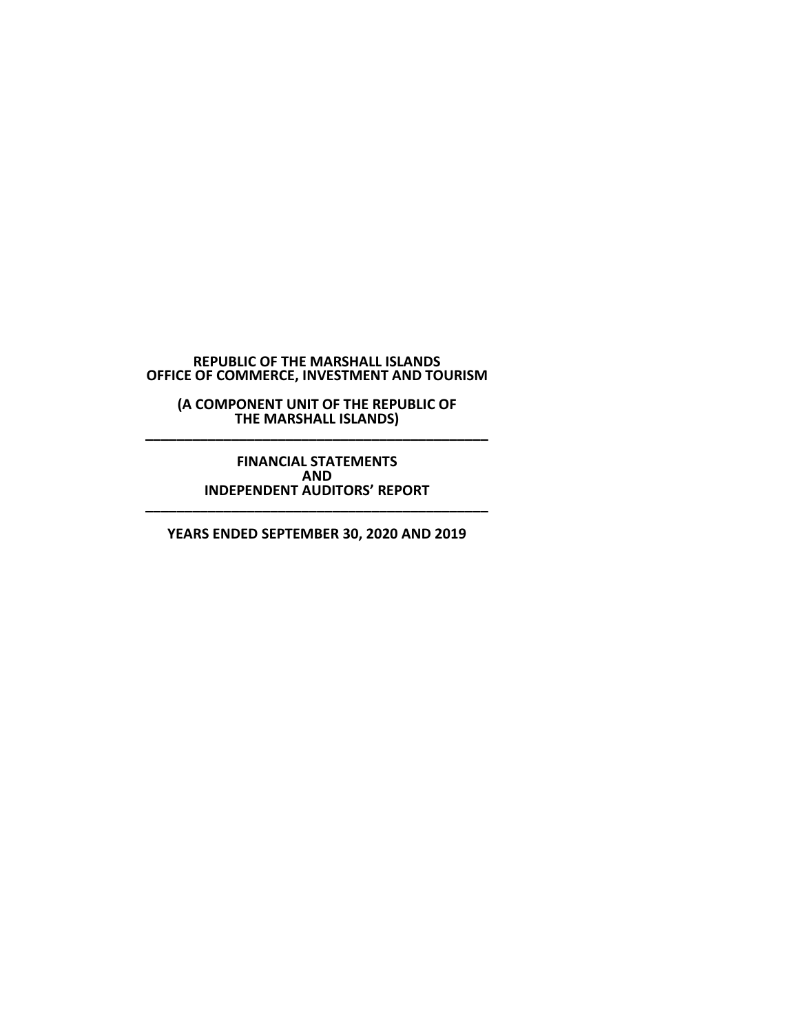**(A COMPONENT UNIT OF THE REPUBLIC OF THE MARSHALL ISLANDS) \_\_\_\_\_\_\_\_\_\_\_\_\_\_\_\_\_\_\_\_\_\_\_\_\_\_\_\_\_\_\_\_\_\_\_\_\_\_\_\_\_\_\_\_**

**FINANCIAL STATEMENTS AND INDEPENDENT AUDITORS' REPORT \_\_\_\_\_\_\_\_\_\_\_\_\_\_\_\_\_\_\_\_\_\_\_\_\_\_\_\_\_\_\_\_\_\_\_\_\_\_\_\_\_\_\_\_**

**YEARS ENDED SEPTEMBER 30, 2020 AND 2019**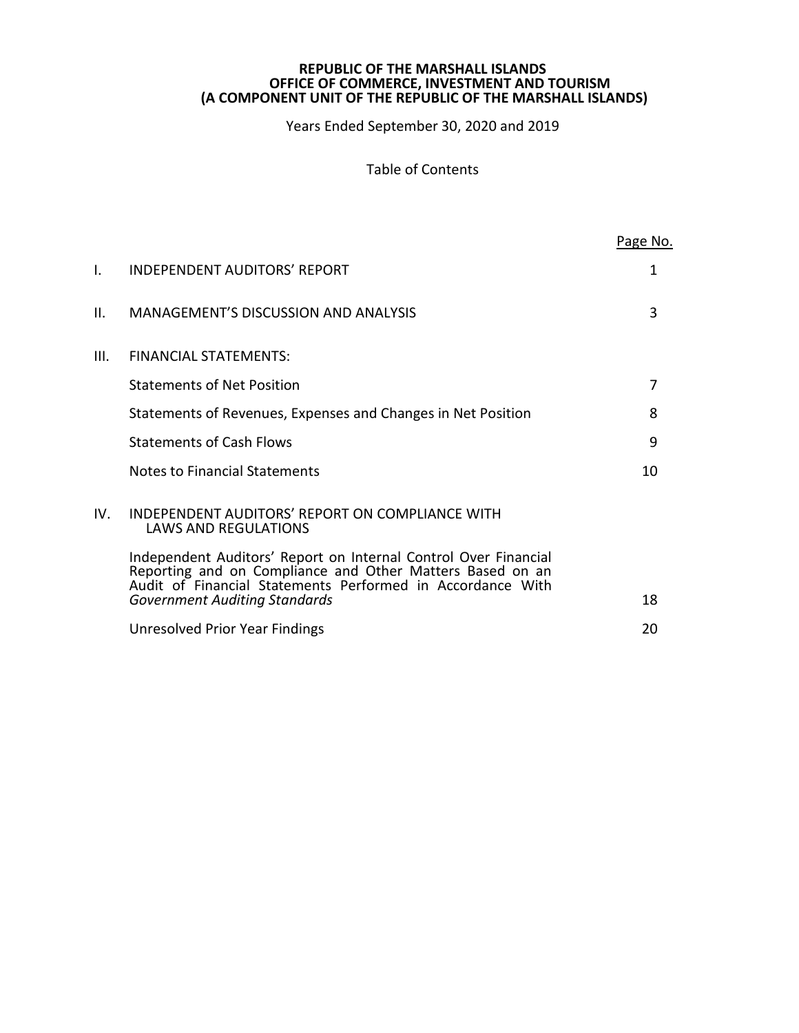Years Ended September 30, 2020 and 2019

Table of Contents

|      |                                                                                                                                                                                            | Page No. |
|------|--------------------------------------------------------------------------------------------------------------------------------------------------------------------------------------------|----------|
| I.   | <b>INDEPENDENT AUDITORS' REPORT</b>                                                                                                                                                        | 1        |
| ΙΙ.  | <b>MANAGEMENT'S DISCUSSION AND ANALYSIS</b>                                                                                                                                                | 3        |
| III. | <b>FINANCIAL STATEMENTS:</b>                                                                                                                                                               |          |
|      | <b>Statements of Net Position</b>                                                                                                                                                          | 7        |
|      | Statements of Revenues, Expenses and Changes in Net Position                                                                                                                               | 8        |
|      | <b>Statements of Cash Flows</b>                                                                                                                                                            | 9        |
|      | <b>Notes to Financial Statements</b>                                                                                                                                                       | 10       |
| IV.  | INDEPENDENT AUDITORS' REPORT ON COMPLIANCE WITH<br><b>LAWS AND REGULATIONS</b>                                                                                                             |          |
|      | Independent Auditors' Report on Internal Control Over Financial<br>Reporting and on Compliance and Other Matters Based on an<br>Audit of Financial Statements Performed in Accordance With |          |
|      | <b>Government Auditing Standards</b>                                                                                                                                                       | 18       |
|      | Unresolved Prior Year Findings                                                                                                                                                             | 20       |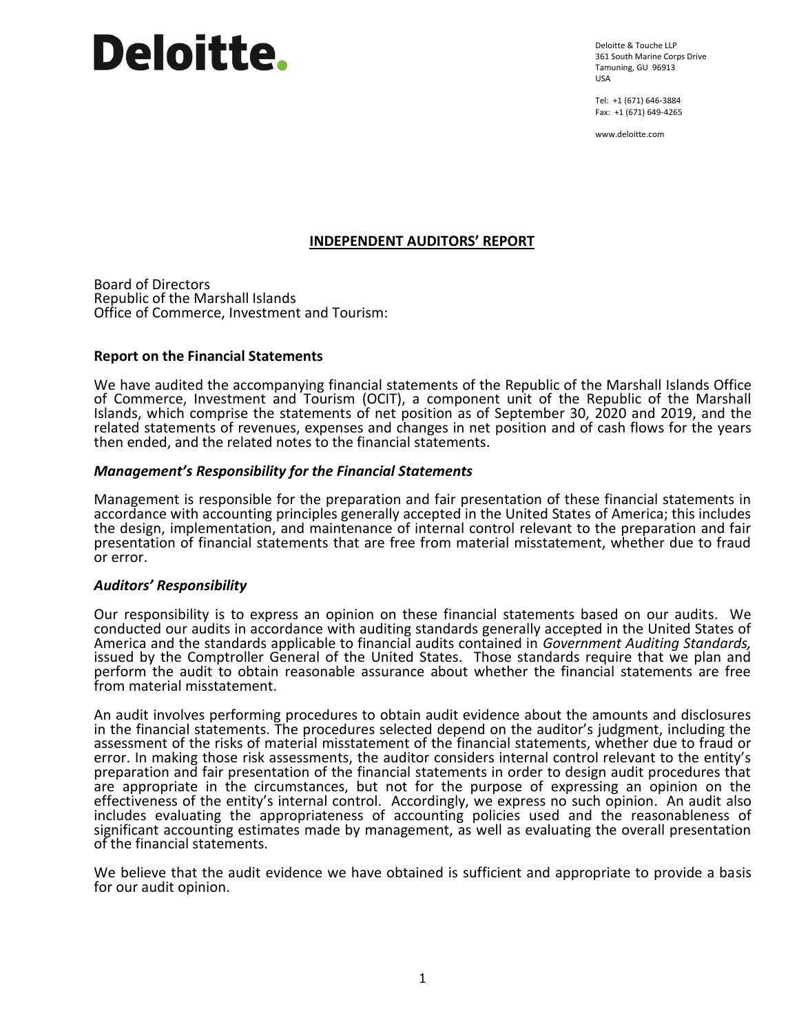# **Deloitte.**

Deloitte & Touche LLP 361 South Marine Corps Drive Tamuning, GU 96913 USA

Tel: +1 (671) 646-3884 Fax: +1 (671) 649-4265

www.deloitte.com

# **INDEPENDENT AUDITORS' REPORT**

Board of Directors Republic of the Marshall Islands Office of Commerce, Investment and Tourism:

# **Report on the Financial Statements**

We have audited the accompanying financial statements of the Republic of the Marshall Islands Office of Commerce, Investment and Tourism (OCIT), a component unit of the Republic of the Marshall Islands, which comprise the statements of net position as of September 30, 2020 and 2019, and the related statements of revenues, expenses and changes in net position and of cash flows for the years then ended, and the related notes to the financial statements.

# *Management's Responsibility for the Financial Statements*

Management is responsible for the preparation and fair presentation of these financial statements in accordance with accounting principles generally accepted in the United States of America; this includes the design, implementation, and maintenance of internal control relevant to the preparation and fair presentation of financial statements that are free from material misstatement, whether due to fraud or error.

#### *Auditors' Responsibility*

Our responsibility is to express an opinion on these financial statements based on our audits. We conducted our audits in accordance with auditing standards generally accepted in the United States of America and the standards applicable to financial audits contained in *Government Auditing Standards,* issued by the Comptroller General of the United States. Those standards require that we plan and perform the audit to obtain reasonable assurance about whether the financial statements are free from material misstatement.

An audit involves performing procedures to obtain audit evidence about the amounts and disclosures in the financial statements. The procedures selected depend on the auditor's judgment, including the assessment of the risks of material misstatement of the financial statements, whether due to fraud or error. In making those risk assessments, the auditor considers internal control relevant to the entity's preparation and fair presentation of the financial statements in order to design audit procedures that are appropriate in the circumstances, but not for the purpose of expressing an opinion on the effectiveness of the entity's internal control. Accordingly, we express no such opinion. An audit also includes evaluating the appropriateness of accounting policies used and the reasonableness of significant accounting estimates made by management, as well as evaluating the overall presentation of the financial statements.

We believe that the audit evidence we have obtained is sufficient and appropriate to provide a basis for our audit opinion.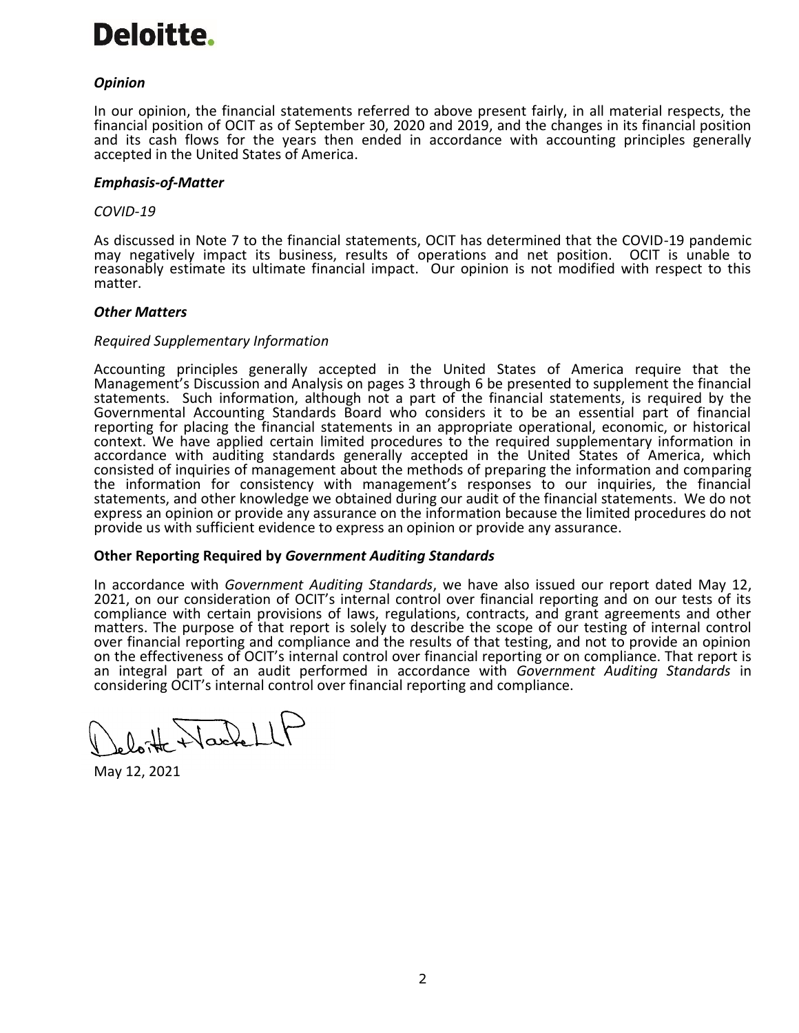

# *Opinion*

In our opinion, the financial statements referred to above present fairly, in all material respects, the financial position of OCIT as of September 30, 2020 and 2019, and the changes in its financial position and its cash flows for the years then ended in accordance with accounting principles generally accepted in the United States of America.

#### *Emphasis-of-Matter*

#### *COVID-19*

As discussed in Note 7 to the financial statements, OCIT has determined that the COVID-19 pandemic may negatively impact its business, results of operations and net position. OCIT is unable to reasonably estimate its ultimate financial impact. Our opinion is not modified with respect to this matter.

#### *Other Matters*

#### *Required Supplementary Information*

Accounting principles generally accepted in the United States of America require that the Management's Discussion and Analysis on pages 3 through 6 be presented to supplement the financial statements. Such information, although not a part of the financial statements, is required by the Governmental Accounting Standards Board who considers it to be an essential part of financial reporting for placing the financial statements in an appropriate operational, economic, or historical context. We have applied certain limited procedures to the required supplementary information in accordance with auditing standards generally accepted in the United States of America, which consisted of inquiries of management about the methods of preparing the information and comparing the information for consistency with management's responses to our inquiries, the financial statements, and other knowledge we obtained during our audit of the financial statements. We do not express an opinion or provide any assurance on the information because the limited procedures do not provide us with sufficient evidence to express an opinion or provide any assurance.

#### **Other Reporting Required by** *Government Auditing Standards*

In accordance with *Government Auditing Standards*, we have also issued our report dated May 12, 2021, on our consideration of OCIT's internal control over financial reporting and on our tests of its compliance with certain provisions of laws, regulations, contracts, and grant agreements and other matters. The purpose of that report is solely to describe the scope of our testing of internal control over financial reporting and compliance and the results of that testing, and not to provide an opinion on the effectiveness of OCIT's internal control over financial reporting or on compliance. That report is an integral part of an audit performed in accordance with *Government Auditing Standards* in considering OCIT's internal control over financial reporting and compliance.

+ Hackell

May 12, 2021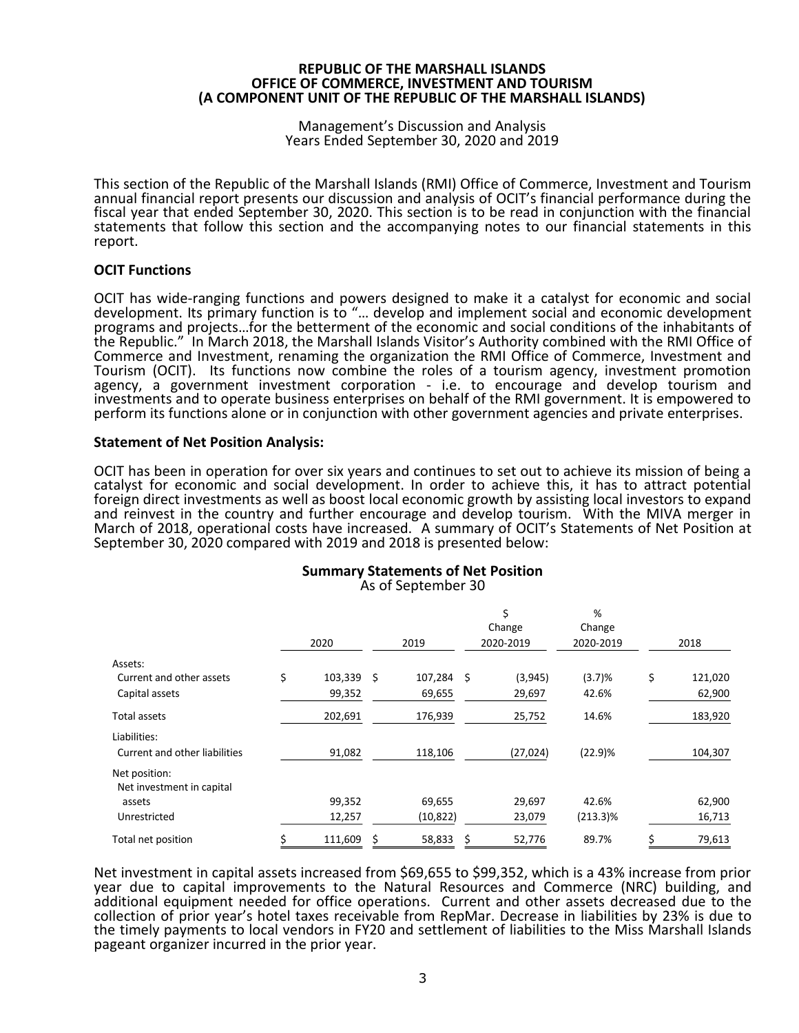#### Management's Discussion and Analysis Years Ended September 30, 2020 and 2019

This section of the Republic of the Marshall Islands (RMI) Office of Commerce, Investment and Tourism annual financial report presents our discussion and analysis of OCIT's financial performance during the fiscal year that ended September 30, 2020. This section is to be read in conjunction with the financial statements that follow this section and the accompanying notes to our financial statements in this report.

# **OCIT Functions**

OCIT has wide-ranging functions and powers designed to make it a catalyst for economic and social development. Its primary function is to "... develop and implement social and economic development programs and projects…for the betterment of the economic and social conditions of the inhabitants of the Republic." In March 2018, the Marshall Islands Visitor's Authority combined with the RMI Office of Commerce and Investment, renaming the organization the RMI Office of Commerce, Investment and Tourism (OCIT). Its functions now combine the roles of a tourism agency, investment promotion agency, a government investment corporation - i.e. to encourage and develop tourism and investments and to operate business enterprises on behalf of the RMI government. It is empowered to perform its functions alone or in conjunction with other government agencies and private enterprises.

### **Statement of Net Position Analysis:**

OCIT has been in operation for over six years and continues to set out to achieve its mission of being a catalyst for economic and social development. In order to achieve this, it has to attract potential foreign direct investments as well as boost local economic growth by assisting local investors to expand and reinvest in the country and further encourage and develop tourism. With the MIVA merger in March of 2018, operational costs have increased. A summary of OCIT's Statements of Net Position at September 30, 2020 compared with 2019 and 2018 is presented below:

#### **Summary Statements of Net Position** As of September 30

|                                               |   | 2020       |   | 2019      |    | \$<br>Change<br>2020-2019 | %<br>Change<br>2020-2019 | 2018          |
|-----------------------------------------------|---|------------|---|-----------|----|---------------------------|--------------------------|---------------|
| Assets:                                       |   |            |   |           |    |                           |                          |               |
| Current and other assets                      | Ś | 103,339 \$ |   | 107,284   | \$ | (3,945)                   | (3.7)%                   | \$<br>121,020 |
| Capital assets                                |   | 99,352     |   | 69,655    |    | 29,697                    | 42.6%                    | 62,900        |
| Total assets                                  |   | 202,691    |   | 176,939   |    | 25,752                    | 14.6%                    | 183,920       |
| Liabilities:<br>Current and other liabilities |   | 91,082     |   | 118,106   |    | (27, 024)                 | (22.9)%                  | 104,307       |
| Net position:<br>Net investment in capital    |   |            |   |           |    |                           |                          |               |
| assets                                        |   | 99,352     |   | 69,655    |    | 29,697                    | 42.6%                    | 62,900        |
| Unrestricted                                  |   | 12,257     |   | (10, 822) |    | 23,079                    | $(213.3)\%$              | 16,713        |
| Total net position                            |   | 111,609    | Ś | 58,833    | Ś  | 52,776                    | 89.7%                    | 79,613        |

Net investment in capital assets increased from \$69,655 to \$99,352, which is a 43% increase from prior year due to capital improvements to the Natural Resources and Commerce (NRC) building, and additional equipment needed for office operations. Current and other assets decreased due to the collection of prior year's hotel taxes receivable from RepMar. Decrease in liabilities by 23% is due to the timely payments to local vendors in FY20 and settlement of liabilities to the Miss Marshall Islands pageant organizer incurred in the prior year.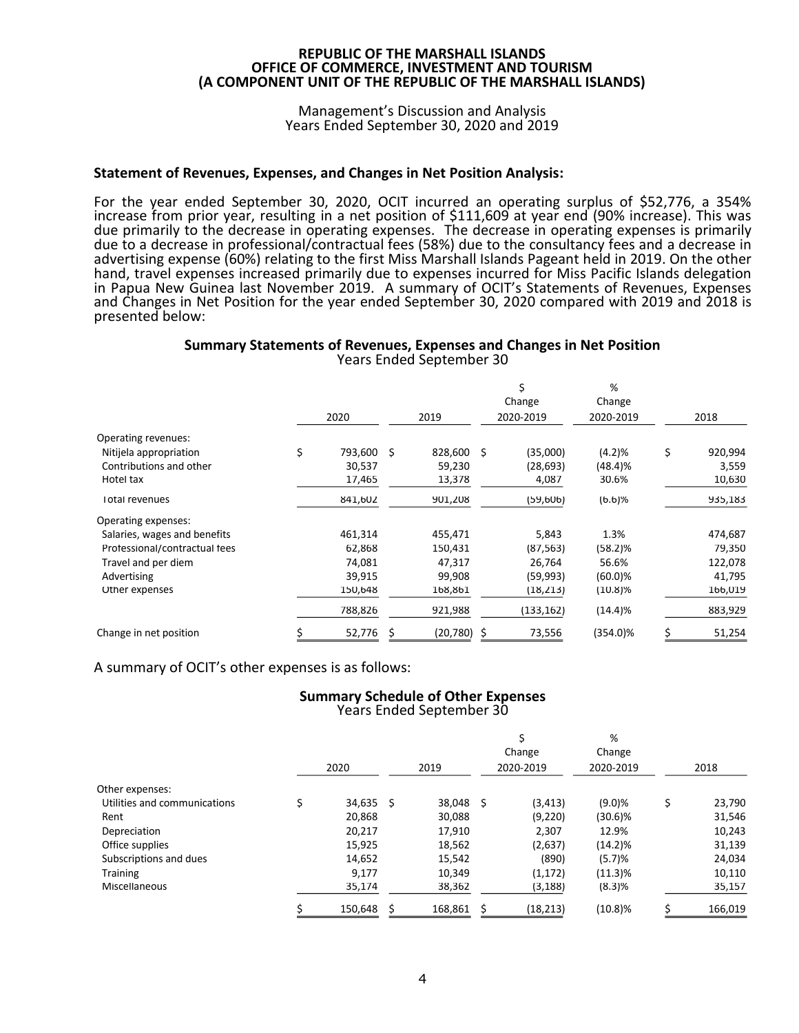#### Management's Discussion and Analysis Years Ended September 30, 2020 and 2019

### **Statement of Revenues, Expenses, and Changes in Net Position Analysis:**

For the year ended September 30, 2020, OCIT incurred an operating surplus of \$52,776, a 354% increase from prior year, resulting in a net position of \$111,609 at year end (90% increase). This was due primarily to the decrease in operating expenses. The decrease in operating expenses is primarily due to a decrease in professional/contractual fees (58%) due to the consultancy fees and a decrease in advertising expense (60%) relating to the first Miss Marshall Islands Pageant held in 2019. On the other hand, travel expenses increased primarily due to expenses incurred for Miss Pacific Islands delegation in Papua New Guinea last November 2019. A summary of OCIT's Statements of Revenues, Expenses and Changes in Net Position for the year ended September 30, 2020 compared with 2019 and 2018 is presented below:

#### **Summary Statements of Revenues, Expenses and Changes in Net Position** Years Ended September 30

|                                                                                       |   | 2020                        |     | 2019                        |   | \$<br>Change<br>2020-2019      | %<br>Change<br>2020-2019   | 2018                             |
|---------------------------------------------------------------------------------------|---|-----------------------------|-----|-----------------------------|---|--------------------------------|----------------------------|----------------------------------|
| Operating revenues:<br>Nitijela appropriation<br>Contributions and other<br>Hotel tax | Ś | 793,600<br>30,537<br>17,465 | - S | 828,600<br>59,230<br>13,378 | S | (35,000)<br>(28, 693)<br>4,087 | (4.2)%<br>(48.4)%<br>30.6% | \$<br>920,994<br>3,559<br>10,630 |
| <b>Total revenues</b>                                                                 |   | 841,602                     |     | 901,208                     |   | (59,606)                       | (6.6)%                     | 935,183                          |
| Operating expenses:                                                                   |   |                             |     |                             |   |                                |                            |                                  |
| Salaries, wages and benefits                                                          |   | 461,314                     |     | 455,471                     |   | 5,843                          | 1.3%                       | 474,687                          |
| Professional/contractual fees                                                         |   | 62,868                      |     | 150,431                     |   | (87, 563)                      | (58.2)%                    | 79,350                           |
| Travel and per diem                                                                   |   | 74,081                      |     | 47,317                      |   | 26,764                         | 56.6%                      | 122,078                          |
| Advertising                                                                           |   | 39,915                      |     | 99,908                      |   | (59,993)                       | $(60.0)$ %                 | 41,795                           |
| Other expenses                                                                        |   | 150,648                     |     | 168,861                     |   | (18, 213)                      | $(10.8)\%$                 | 166,019                          |
|                                                                                       |   | 788,826                     |     | 921,988                     |   | (133, 162)                     | (14.4)%                    | 883,929                          |
| Change in net position                                                                | S | 52,776                      | \$. | $(20,780)$ \$               |   | 73,556                         | $(354.0)\%$                | \$<br>51,254                     |

A summary of OCIT's other expenses is as follows:

### **Summary Schedule of Other Expenses** Years Ended September 30

|                              | 2020        | 2019    |     | \$<br>Change<br>2020-2019 | %<br>Change<br>2020-2019 | 2018         |
|------------------------------|-------------|---------|-----|---------------------------|--------------------------|--------------|
| Other expenses:              |             |         |     |                           |                          |              |
| Utilities and communications | $34,635$ \$ | 38,048  | -\$ | (3, 413)                  | (9.0)%                   | \$<br>23,790 |
| Rent                         | 20,868      | 30,088  |     | (9,220)                   | $(30.6)\%$               | 31,546       |
| Depreciation                 | 20,217      | 17,910  |     | 2,307                     | 12.9%                    | 10,243       |
| Office supplies              | 15,925      | 18,562  |     | (2,637)                   | $(14.2)\%$               | 31,139       |
| Subscriptions and dues       | 14,652      | 15,542  |     | (890)                     | (5.7)%                   | 24,034       |
| <b>Training</b>              | 9,177       | 10,349  |     | (1, 172)                  | $(11.3)\%$               | 10,110       |
| Miscellaneous                | 35,174      | 38,362  |     | (3, 188)                  | (8.3)%                   | 35,157       |
|                              | 150,648     | 168,861 |     | (18, 213)                 | $(10.8)\%$               | 166,019      |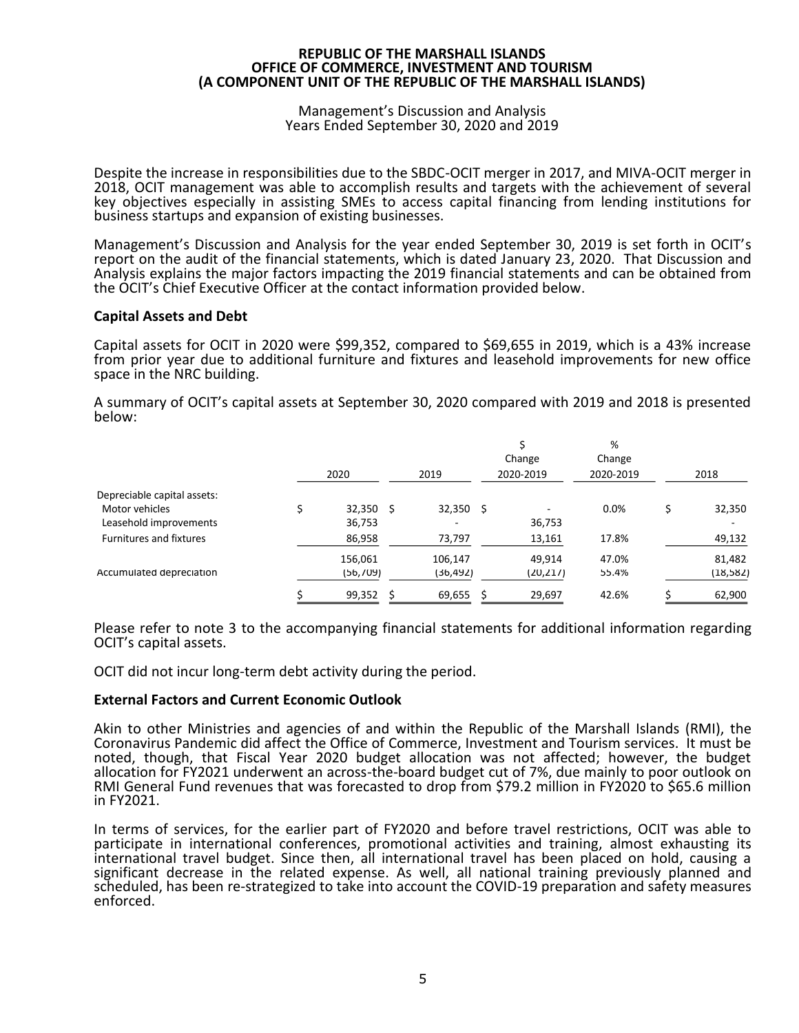#### Management's Discussion and Analysis Years Ended September 30, 2020 and 2019

Despite the increase in responsibilities due to the SBDC-OCIT merger in 2017, and MIVA-OCIT merger in 2018, OCIT management was able to accomplish results and targets with the achievement of several key objectives especially in assisting SMEs to access capital financing from lending institutions for business startups and expansion of existing businesses.

Management's Discussion and Analysis for the year ended September 30, 2019 is set forth in OCIT's report on the audit of the financial statements, which is dated January 23, 2020. That Discussion and Analysis explains the major factors impacting the 2019 financial statements and can be obtained from the OCIT's Chief Executive Officer at the contact information provided below.

### **Capital Assets and Debt**

Capital assets for OCIT in 2020 were \$99,352, compared to \$69,655 in 2019, which is a 43% increase from prior year due to additional furniture and fixtures and leasehold improvements for new office space in the NRC building.

A summary of OCIT's capital assets at September 30, 2020 compared with 2019 and 2018 is presented below:

|                             | 2020      |   | 2019      |    | \$<br>Change<br>2020-2019 | %<br>Change<br>2020-2019 | 2018      |
|-----------------------------|-----------|---|-----------|----|---------------------------|--------------------------|-----------|
| Depreciable capital assets: |           |   |           |    |                           |                          |           |
| Motor vehicles              | 32,350 S  |   | 32,350    | -S |                           | 0.0%                     | 32,350    |
| Leasehold improvements      | 36,753    |   |           |    | 36,753                    |                          |           |
| Furnitures and fixtures     | 86,958    |   | 73,797    |    | 13,161                    | 17.8%                    | 49,132    |
|                             | 156,061   |   | 106,147   |    | 49,914                    | 47.0%                    | 81,482    |
| Accumulated depreciation    | (56, 709) |   | (36, 492) |    | (20, 217)                 | 55.4%                    | (18, 582) |
|                             | 99,352    | S | 69,655    | S  | 29,697                    | 42.6%                    | 62,900    |

Please refer to note 3 to the accompanying financial statements for additional information regarding OCIT's capital assets.

OCIT did not incur long-term debt activity during the period.

#### **External Factors and Current Economic Outlook**

Akin to other Ministries and agencies of and within the Republic of the Marshall Islands (RMI), the Coronavirus Pandemic did affect the Office of Commerce, Investment and Tourism services. It must be noted, though, that Fiscal Year 2020 budget allocation was not affected; however, the budget allocation for FY2021 underwent an across-the-board budget cut of 7%, due mainly to poor outlook on RMI General Fund revenues that was forecasted to drop from \$79.2 million in FY2020 to \$65.6 million in FY2021.

In terms of services, for the earlier part of FY2020 and before travel restrictions, OCIT was able to participate in international conferences, promotional activities and training, almost exhausting its international travel budget. Since then, all international travel has been placed on hold, causing a significant decrease in the related expense. As well, all national training previously planned and scheduled, has been re-strategized to take into account the COVID-19 preparation and safety measures enforced.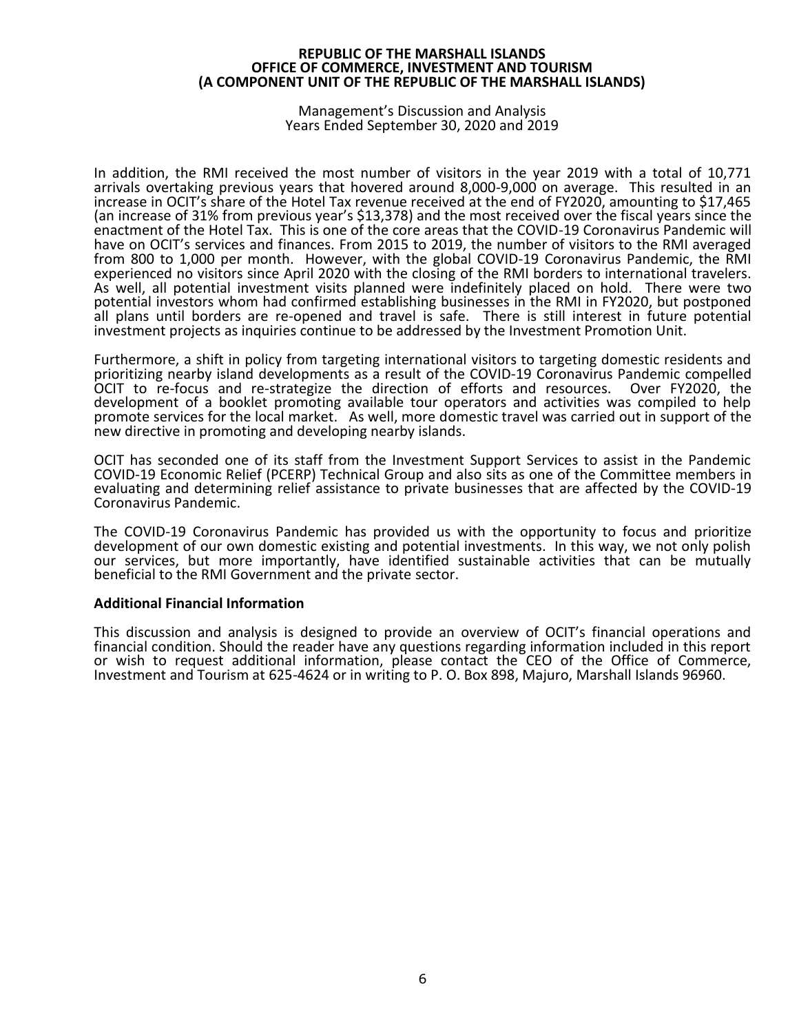Management's Discussion and Analysis Years Ended September 30, 2020 and 2019

In addition, the RMI received the most number of visitors in the year 2019 with a total of 10,771 arrivals overtaking previous years that hovered around 8,000-9,000 on average. This resulted in an increase in OCIT's share of the Hotel Tax revenue received at the end of FY2020, amounting to \$17,465 (an increase of 31% from previous year's \$13,378) and the most received over the fiscal years since the enactment of the Hotel Tax. This is one of the core areas that the COVID-19 Coronavirus Pandemic will have on OCIT's services and finances. From 2015 to 2019, the number of visitors to the RMI averaged from 800 to 1,000 per month. However, with the global COVID-19 Coronavirus Pandemic, the RMI experienced no visitors since April 2020 with the closing of the RMI borders to international travelers. As well, all potential investment visits planned were indefinitely placed on hold. There were two potential investors whom had confirmed establishing businesses in the RMI in FY2020, but postponed all plans until borders are re-opened and travel is safe. There is still interest in future potential investment projects as inquiries continue to be addressed by the Investment Promotion Unit.

Furthermore, a shift in policy from targeting international visitors to targeting domestic residents and prioritizing nearby island developments as a result of the COVID-19 Coronavirus Pandemic compelled OCIT to re-focus and re-strategize the direction of efforts and resources. Over FY2020, the development of a booklet promoting available tour operators and activities was compiled to help promote services for the local market. As well, more domestic travel was carried out in support of the new directive in promoting and developing nearby islands.

OCIT has seconded one of its staff from the Investment Support Services to assist in the Pandemic COVID-19 Economic Relief (PCERP) Technical Group and also sits as one of the Committee members in evaluating and determining relief assistance to private businesses that are affected by the COVID-19 Coronavirus Pandemic.

The COVID-19 Coronavirus Pandemic has provided us with the opportunity to focus and prioritize development of our own domestic existing and potential investments. In this way, we not only polish our services, but more importantly, have identified sustainable activities that can be mutually beneficial to the RMI Government and the private sector.

#### **Additional Financial Information**

This discussion and analysis is designed to provide an overview of OCIT's financial operations and financial condition. Should the reader have any questions regarding information included in this report or wish to request additional information, please contact the CEO of the Office of Commerce, Investment and Tourism at 625-4624 or in writing to P. O. Box 898, Majuro, Marshall Islands 96960.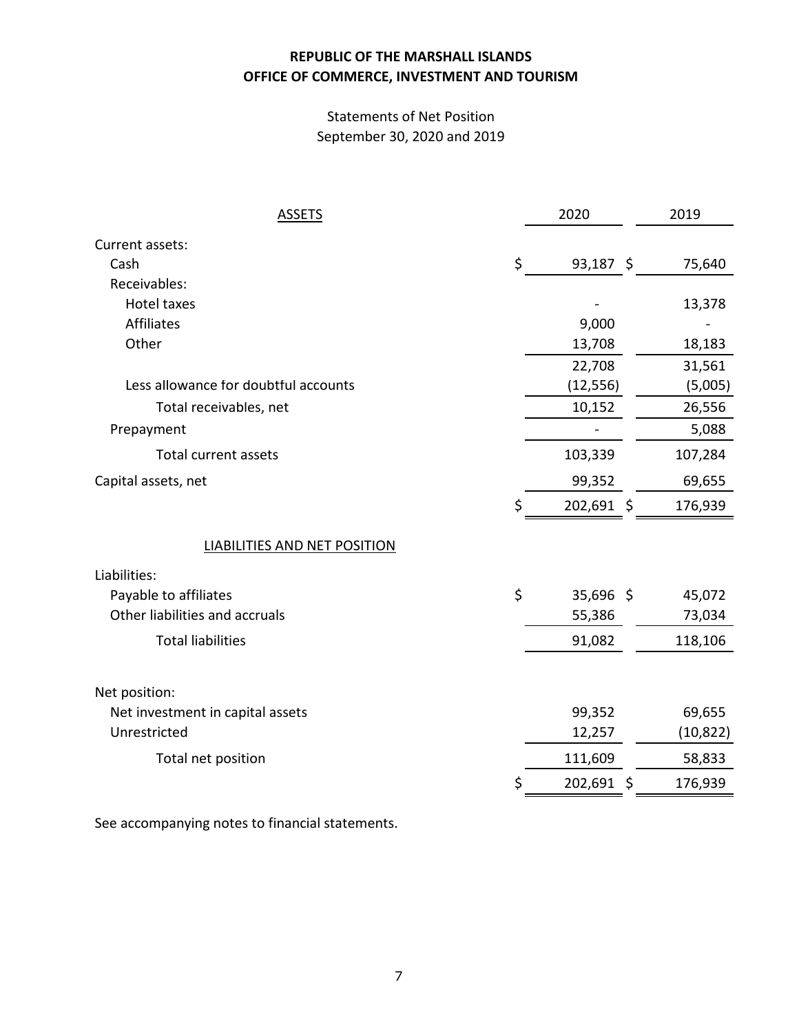# Statements of Net Position September 30, 2020 and 2019

| <b>ASSETS</b>                        | 2020              | 2019      |
|--------------------------------------|-------------------|-----------|
| Current assets:                      |                   |           |
| Cash                                 | \$<br>$93,187$ \$ | 75,640    |
| Receivables:                         |                   |           |
| <b>Hotel taxes</b>                   |                   | 13,378    |
| <b>Affiliates</b>                    | 9,000             |           |
| Other                                | 13,708            | 18,183    |
|                                      | 22,708            | 31,561    |
| Less allowance for doubtful accounts | (12, 556)         | (5,005)   |
| Total receivables, net               | 10,152            | 26,556    |
| Prepayment                           |                   | 5,088     |
| <b>Total current assets</b>          | 103,339           | 107,284   |
| Capital assets, net                  | 99,352            | 69,655    |
|                                      | \$<br>202,691 \$  | 176,939   |
| <b>LIABILITIES AND NET POSITION</b>  |                   |           |
| Liabilities:                         |                   |           |
| Payable to affiliates                | \$<br>35,696 \$   | 45,072    |
| Other liabilities and accruals       | 55,386            | 73,034    |
| <b>Total liabilities</b>             | 91,082            | 118,106   |
| Net position:                        |                   |           |
| Net investment in capital assets     | 99,352            | 69,655    |
| Unrestricted                         | 12,257            | (10, 822) |
| Total net position                   | 111,609           | 58,833    |
|                                      | 202,691 \$        | 176,939   |
|                                      |                   |           |

See accompanying notes to financial statements.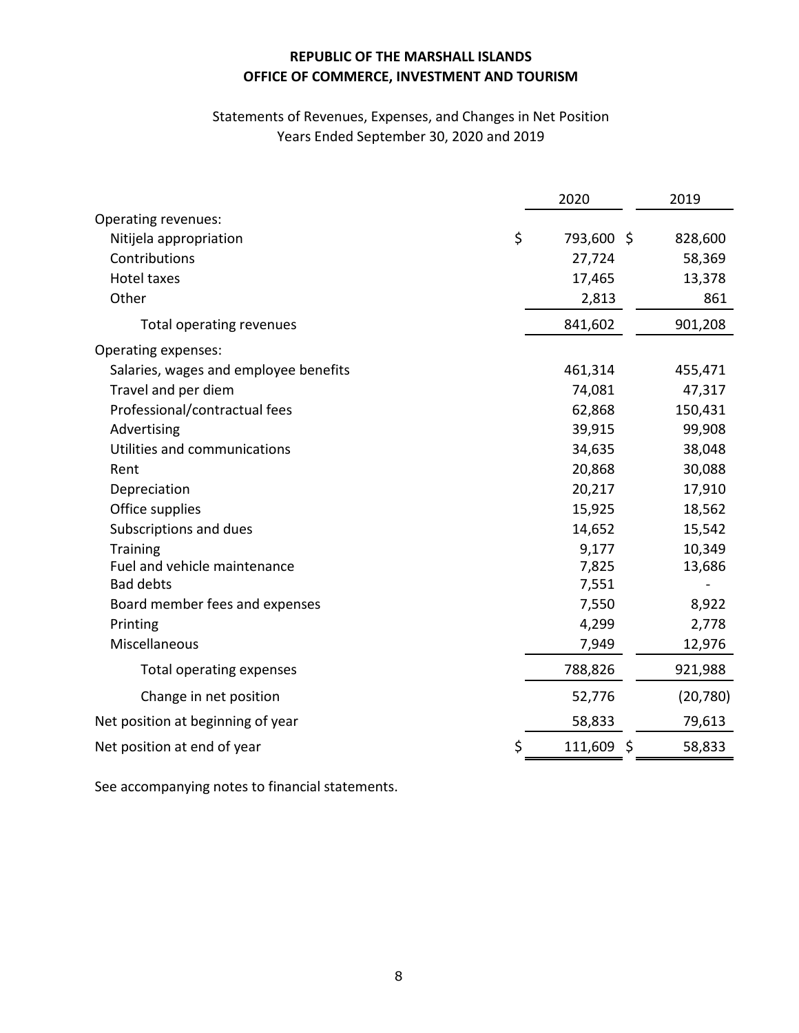# Statements of Revenues, Expenses, and Changes in Net Position Years Ended September 30, 2020 and 2019

|                                       | 2020       |   | 2019      |
|---------------------------------------|------------|---|-----------|
| Operating revenues:                   |            |   |           |
| \$<br>Nitijela appropriation          | 793,600 \$ |   | 828,600   |
| Contributions                         | 27,724     |   | 58,369    |
| <b>Hotel taxes</b>                    | 17,465     |   | 13,378    |
| Other                                 | 2,813      |   | 861       |
| Total operating revenues              | 841,602    |   | 901,208   |
| Operating expenses:                   |            |   |           |
| Salaries, wages and employee benefits | 461,314    |   | 455,471   |
| Travel and per diem                   | 74,081     |   | 47,317    |
| Professional/contractual fees         | 62,868     |   | 150,431   |
| Advertising                           | 39,915     |   | 99,908    |
| Utilities and communications          | 34,635     |   | 38,048    |
| Rent                                  | 20,868     |   | 30,088    |
| Depreciation                          | 20,217     |   | 17,910    |
| Office supplies                       | 15,925     |   | 18,562    |
| Subscriptions and dues                | 14,652     |   | 15,542    |
| <b>Training</b>                       | 9,177      |   | 10,349    |
| Fuel and vehicle maintenance          | 7,825      |   | 13,686    |
| <b>Bad debts</b>                      | 7,551      |   |           |
| Board member fees and expenses        | 7,550      |   | 8,922     |
| Printing                              | 4,299      |   | 2,778     |
| Miscellaneous                         | 7,949      |   | 12,976    |
| Total operating expenses              | 788,826    |   | 921,988   |
| Change in net position                | 52,776     |   | (20, 780) |
| Net position at beginning of year     | 58,833     |   | 79,613    |
| Net position at end of year<br>\$     | 111,609    | Ŝ | 58,833    |

See accompanying notes to financial statements.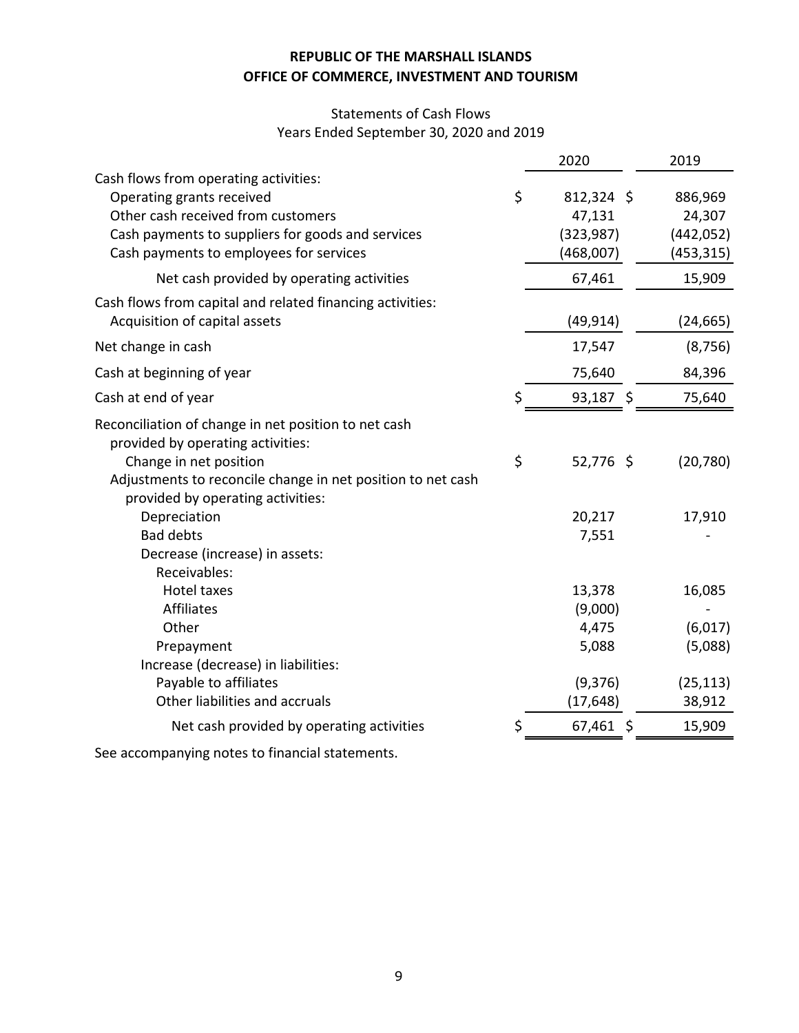# Statements of Cash Flows Years Ended September 30, 2020 and 2019

|                                                                                                                                                                                                                         | 2020                                                        | 2019                                                |
|-------------------------------------------------------------------------------------------------------------------------------------------------------------------------------------------------------------------------|-------------------------------------------------------------|-----------------------------------------------------|
| Cash flows from operating activities:<br>Operating grants received<br>Other cash received from customers<br>Cash payments to suppliers for goods and services<br>Cash payments to employees for services                | \$<br>$812,324$ \$<br>47,131<br>(323, 987)<br>(468,007)     | 886,969<br>24,307<br>(442, 052)<br>(453, 315)       |
| Net cash provided by operating activities                                                                                                                                                                               | 67,461                                                      | 15,909                                              |
| Cash flows from capital and related financing activities:<br>Acquisition of capital assets                                                                                                                              | (49, 914)                                                   | (24,665)                                            |
| Net change in cash                                                                                                                                                                                                      | 17,547                                                      | (8, 756)                                            |
| Cash at beginning of year                                                                                                                                                                                               | 75,640                                                      | 84,396                                              |
| Cash at end of year                                                                                                                                                                                                     | \$<br>93,187 \$                                             | 75,640                                              |
| Reconciliation of change in net position to net cash<br>provided by operating activities:<br>Change in net position<br>Adjustments to reconcile change in net position to net cash<br>provided by operating activities: | \$<br>52,776 \$                                             | (20, 780)                                           |
| Depreciation<br><b>Bad debts</b><br>Decrease (increase) in assets:<br>Receivables:                                                                                                                                      | 20,217<br>7,551                                             | 17,910                                              |
| <b>Hotel taxes</b><br>Affiliates<br>Other<br>Prepayment<br>Increase (decrease) in liabilities:<br>Payable to affiliates<br>Other liabilities and accruals                                                               | 13,378<br>(9,000)<br>4,475<br>5,088<br>(9,376)<br>(17, 648) | 16,085<br>(6,017)<br>(5,088)<br>(25, 113)<br>38,912 |
| Net cash provided by operating activities                                                                                                                                                                               | \$<br>67,461<br>\$                                          | 15,909                                              |
|                                                                                                                                                                                                                         |                                                             |                                                     |

See accompanying notes to financial statements.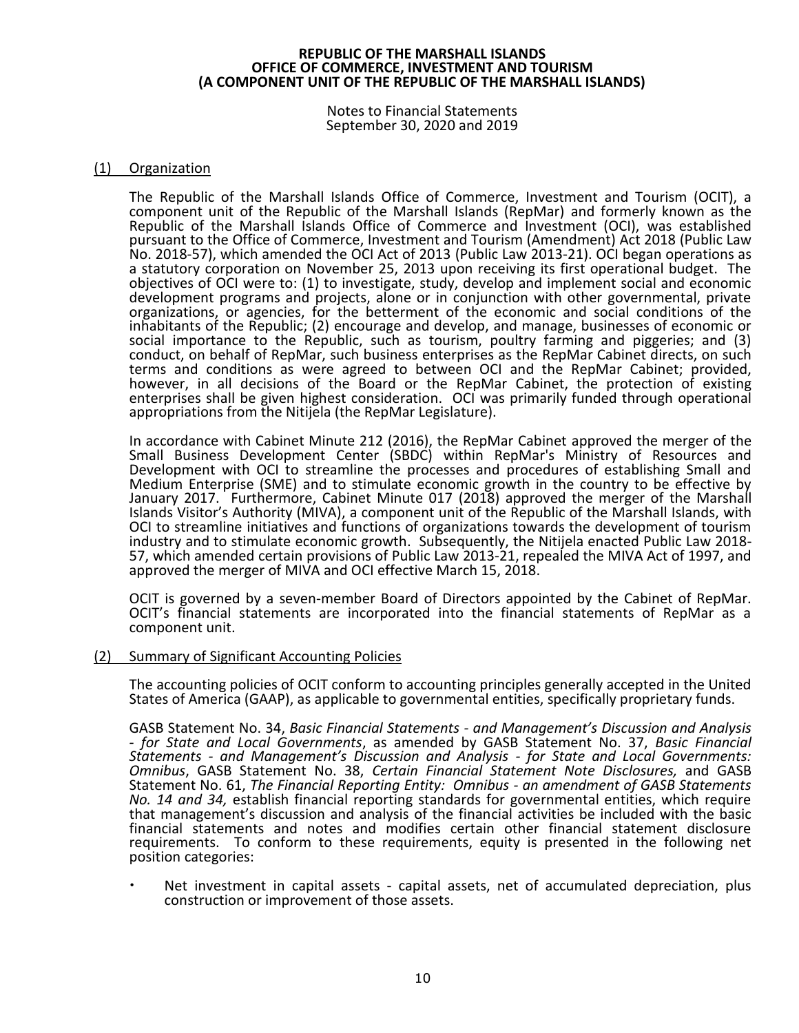Notes to Financial Statements September 30, 2020 and 2019

### (1) Organization

The Republic of the Marshall Islands Office of Commerce, Investment and Tourism (OCIT), a component unit of the Republic of the Marshall Islands (RepMar) and formerly known as the Republic of the Marshall Islands Office of Commerce and Investment (OCI), was established pursuant to the Office of Commerce, Investment and Tourism (Amendment) Act 2018 (Public Law No. 2018-57), which amended the OCI Act of 2013 (Public Law 2013-21). OCI began operations as a statutory corporation on November 25, 2013 upon receiving its first operational budget. The objectives of OCI were to: (1) to investigate, study, develop and implement social and economic development programs and projects, alone or in conjunction with other governmental, private organizations, or agencies, for the betterment of the economic and social conditions of the inhabitants of the Republic; (2) encourage and develop, and manage, businesses of economic or social importance to the Republic, such as tourism, poultry farming and piggeries; and (3) conduct, on behalf of RepMar, such business enterprises as the RepMar Cabinet directs, on such terms and conditions as were agreed to between OCI and the RepMar Cabinet; provided, however, in all decisions of the Board or the RepMar Cabinet, the protection of existing enterprises shall be given highest consideration. OCI was primarily funded through operational appropriations from the Nitijela (the RepMar Legislature).

In accordance with Cabinet Minute 212 (2016), the RepMar Cabinet approved the merger of the Small Business Development Center (SBDC) within RepMar's Ministry of Resources and Development with OCI to streamline the processes and procedures of establishing Small and Medium Enterprise (SME) and to stimulate economic growth in the country to be effective by January 2017. Furthermore, Cabinet Minute 017 (2018) approved the merger of the Marshall Islands Visitor's Authority (MIVA), a component unit of the Republic of the Marshall Islands, with OCI to streamline initiatives and functions of organizations towards the development of tourism industry and to stimulate economic growth. Subsequently, the Nitijela enacted Public Law 2018- 57, which amended certain provisions of Public Law 2013-21, repealed the MIVA Act of 1997, and approved the merger of MIVA and OCI effective March 15, 2018.

OCIT is governed by a seven-member Board of Directors appointed by the Cabinet of RepMar. OCIT's financial statements are incorporated into the financial statements of RepMar as a component unit.

#### (2) Summary of Significant Accounting Policies

The accounting policies of OCIT conform to accounting principles generally accepted in the United States of America (GAAP), as applicable to governmental entities, specifically proprietary funds.

GASB Statement No. 34, *Basic Financial Statements - and Management's Discussion and Analysis - for State and Local Governments*, as amended by GASB Statement No. 37, *Basic Financial Statements - and Management's Discussion and Analysis - for State and Local Governments: Omnibus*, GASB Statement No. 38, *Certain Financial Statement Note Disclosures,* and GASB Statement No. 61, *The Financial Reporting Entity: Omnibus - an amendment of GASB Statements No. 14 and 34,* establish financial reporting standards for governmental entities, which require that management's discussion and analysis of the financial activities be included with the basic financial statements and notes and modifies certain other financial statement disclosure requirements. To conform to these requirements, equity is presented in the following net position categories:

 Net investment in capital assets - capital assets, net of accumulated depreciation, plus construction or improvement of those assets.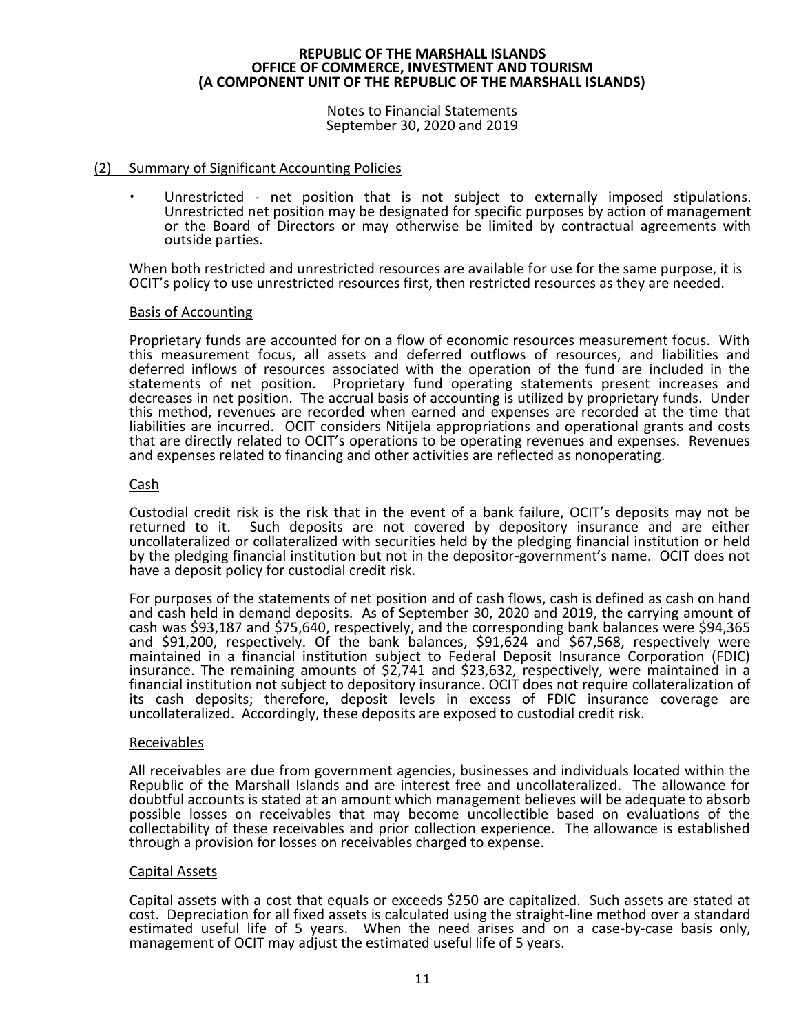Notes to Financial Statements September 30, 2020 and 2019

### (2) Summary of Significant Accounting Policies

 Unrestricted - net position that is not subject to externally imposed stipulations. Unrestricted net position may be designated for specific purposes by action of management or the Board of Directors or may otherwise be limited by contractual agreements with outside parties.

When both restricted and unrestricted resources are available for use for the same purpose, it is OCIT's policy to use unrestricted resources first, then restricted resources as they are needed.

#### Basis of Accounting

Proprietary funds are accounted for on a flow of economic resources measurement focus. With this measurement focus, all assets and deferred outflows of resources, and liabilities and deferred inflows of resources associated with the operation of the fund are included in the statements of net position. Proprietary fund operating statements present increases and decreases in net position. The accrual basis of accounting is utilized by proprietary funds. Under this method, revenues are recorded when earned and expenses are recorded at the time that liabilities are incurred. OCIT considers Nitijela appropriations and operational grants and costs that are directly related to OCIT's operations to be operating revenues and expenses. Revenues and expenses related to financing and other activities are reflected as nonoperating.

# Cash

Custodial credit risk is the risk that in the event of a bank failure, OCIT's deposits may not be Such deposits are not covered by depository insurance and are either uncollateralized or collateralized with securities held by the pledging financial institution or held by the pledging financial institution but not in the depositor-government's name. OCIT does not have a deposit policy for custodial credit risk.

For purposes of the statements of net position and of cash flows, cash is defined as cash on hand and cash held in demand deposits. As of September 30, 2020 and 2019, the carrying amount of cash was \$93,187 and \$75,640, respectively, and the corresponding bank balances were \$94,365 and \$91,200, respectively. Of the bank balances, \$91,624 and \$67,568, respectively were maintained in a financial institution subject to Federal Deposit Insurance Corporation (FDIC) insurance. The remaining amounts of \$2,741 and \$23,632, respectively, were maintained in a financial institution not subject to depository insurance. OCIT does not require collateralization of its cash deposits; therefore, deposit levels in excess of FDIC insurance coverage are uncollateralized. Accordingly, these deposits are exposed to custodial credit risk.

#### Receivables

All receivables are due from government agencies, businesses and individuals located within the Republic of the Marshall Islands and are interest free and uncollateralized. The allowance for doubtful accounts is stated at an amount which management believes will be adequate to absorb possible losses on receivables that may become uncollectible based on evaluations of the collectability of these receivables and prior collection experience. The allowance is established through a provision for losses on receivables charged to expense.

#### Capital Assets

Capital assets with a cost that equals or exceeds \$250 are capitalized. Such assets are stated at cost. Depreciation for all fixed assets is calculated using the straight-line method over a standard estimated useful life of 5 years. When the need arises and on a case-by-case basis only, management of OCIT may adjust the estimated useful life of 5 years.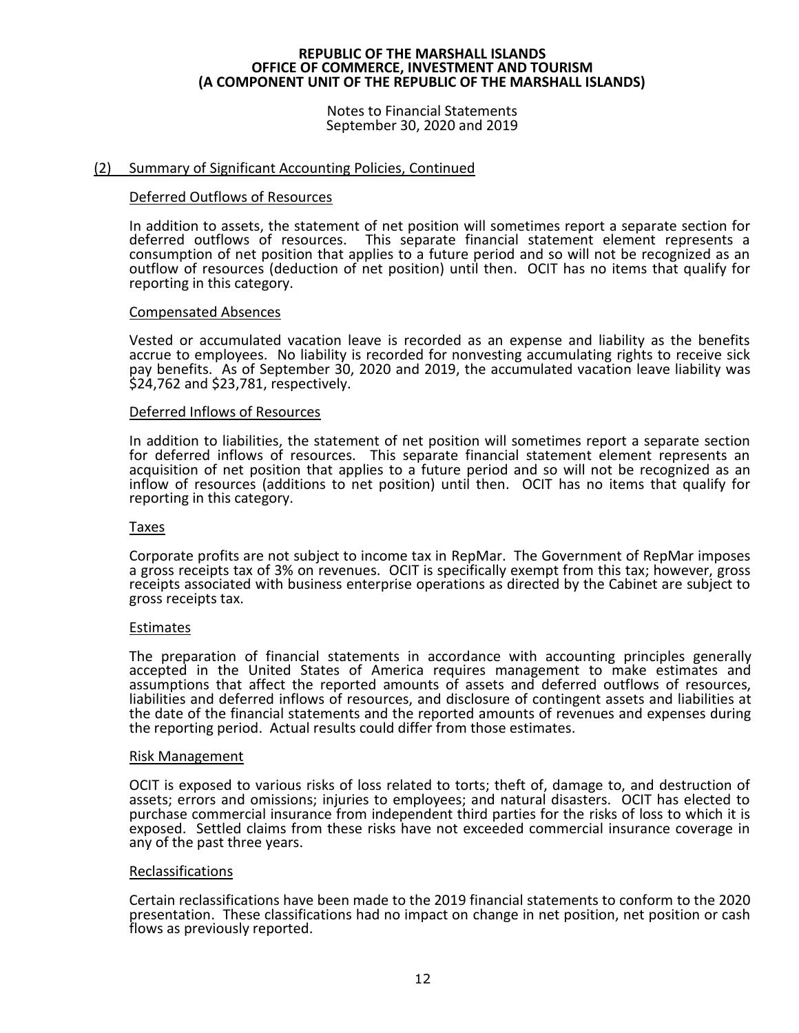Notes to Financial Statements September 30, 2020 and 2019

### (2) Summary of Significant Accounting Policies, Continued

#### Deferred Outflows of Resources

In addition to assets, the statement of net position will sometimes report a separate section for deferred outflows of resources. This separate financial statement element represents a consumption of net position that applies to a future period and so will not be recognized as an outflow of resources (deduction of net position) until then. OCIT has no items that qualify for reporting in this category.

#### Compensated Absences

Vested or accumulated vacation leave is recorded as an expense and liability as the benefits accrue to employees. No liability is recorded for nonvesting accumulating rights to receive sick pay benefits. As of September 30, 2020 and 2019, the accumulated vacation leave liability was \$24,762 and \$23,781, respectively.

#### Deferred Inflows of Resources

In addition to liabilities, the statement of net position will sometimes report a separate section for deferred inflows of resources. This separate financial statement element represents an acquisition of net position that applies to a future period and so will not be recognized as an inflow of resources (additions to net position) until then. OCIT has no items that qualify for reporting in this category.

#### Taxes

Corporate profits are not subject to income tax in RepMar. The Government of RepMar imposes a gross receipts tax of 3% on revenues. OCIT is specifically exempt from this tax; however, gross receipts associated with business enterprise operations as directed by the Cabinet are subject to gross receipts tax.

#### Estimates

The preparation of financial statements in accordance with accounting principles generally accepted in the United States of America requires management to make estimates and assumptions that affect the reported amounts of assets and deferred outflows of resources, liabilities and deferred inflows of resources, and disclosure of contingent assets and liabilities at the date of the financial statements and the reported amounts of revenues and expenses during the reporting period. Actual results could differ from those estimates.

#### Risk Management

OCIT is exposed to various risks of loss related to torts; theft of, damage to, and destruction of assets; errors and omissions; injuries to employees; and natural disasters. OCIT has elected to purchase commercial insurance from independent third parties for the risks of loss to which it is exposed. Settled claims from these risks have not exceeded commercial insurance coverage in any of the past three years.

#### Reclassifications

Certain reclassifications have been made to the 2019 financial statements to conform to the 2020 presentation. These classifications had no impact on change in net position, net position or cash flows as previously reported.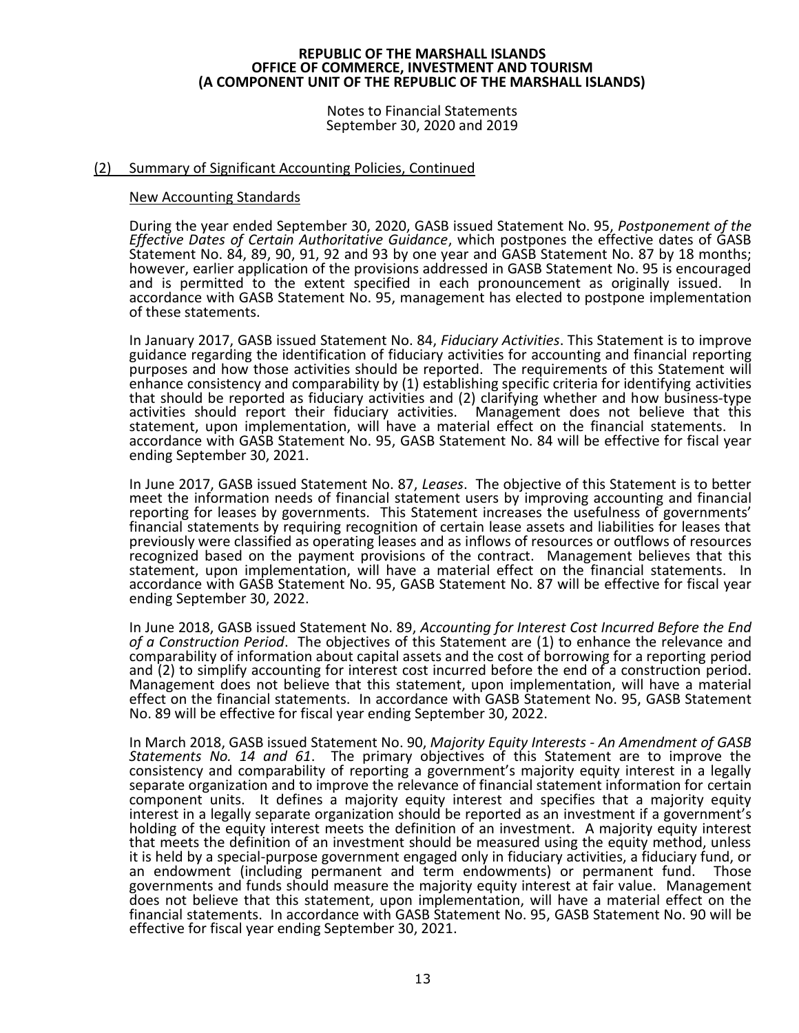Notes to Financial Statements September 30, 2020 and 2019

### (2) Summary of Significant Accounting Policies, Continued

#### New Accounting Standards

During the year ended September 30, 2020, GASB issued Statement No. 95, *Postponement of the Effective Dates of Certain Authoritative Guidance*, which postpones the effective dates of GASB Statement No. 84, 89, 90, 91, 92 and 93 by one year and GASB Statement No. 87 by 18 months; however, earlier application of the provisions addressed in GASB Statement No. 95 is encouraged and is permitted to the extent specified in each pronouncement as originally issued. In accordance with GASB Statement No. 95, management has elected to postpone implementation of these statements.

In January 2017, GASB issued Statement No. 84, *Fiduciary Activities*. This Statement is to improve guidance regarding the identification of fiduciary activities for accounting and financial reporting purposes and how those activities should be reported. The requirements of this Statement will enhance consistency and comparability by (1) establishing specific criteria for identifying activities that should be reported as fiduciary activities and (2) clarifying whether and how business-type activities should report their fiduciary activities. Management does not believe that this statement, upon implementation, will have a material effect on the financial statements. In accordance with GASB Statement No. 95, GASB Statement No. 84 will be effective for fiscal year ending September 30, 2021.

In June 2017, GASB issued Statement No. 87, *Leases*. The objective of this Statement is to better meet the information needs of financial statement users by improving accounting and financial reporting for leases by governments. This Statement increases the usefulness of governments' financial statements by requiring recognition of certain lease assets and liabilities for leases that previously were classified as operating leases and as inflows of resources or outflows of resources recognized based on the payment provisions of the contract. Management believes that this statement, upon implementation, will have a material effect on the financial statements. In accordance with GASB Statement No. 95, GASB Statement No. 87 will be effective for fiscal year ending September 30, 2022.

In June 2018, GASB issued Statement No. 89, *Accounting for Interest Cost Incurred Before the End of a Construction Period*. The objectives of this Statement are (1) to enhance the relevance and comparability of information about capital assets and the cost of borrowing for a reporting period and (2) to simplify accounting for interest cost incurred before the end of a construction period. Management does not believe that this statement, upon implementation, will have a material effect on the financial statements. In accordance with GASB Statement No. 95, GASB Statement No. 89 will be effective for fiscal year ending September 30, 2022.

In March 2018, GASB issued Statement No. 90, *Majority Equity Interests - An Amendment of GASB Statements No. 14 and 61*. The primary objectives of this Statement are to improve the consistency and comparability of reporting a government's majority equity interest in a legally separate organization and to improve the relevance of financial statement information for certain component units. It defines a majority equity interest and specifies that a majority equity interest in a legally separate organization should be reported as an investment if a government's holding of the equity interest meets the definition of an investment. A majority equity interest that meets the definition of an investment should be measured using the equity method, unless it is held by a special-purpose government engaged only in fiduciary activities, a fiduciary fund, or an endowment (including permanent and term endowments) or permanent fund. Those governments and funds should measure the majority equity interest at fair value. Management does not believe that this statement, upon implementation, will have a material effect on the financial statements. In accordance with GASB Statement No. 95, GASB Statement No. 90 will be effective for fiscal year ending September 30, 2021.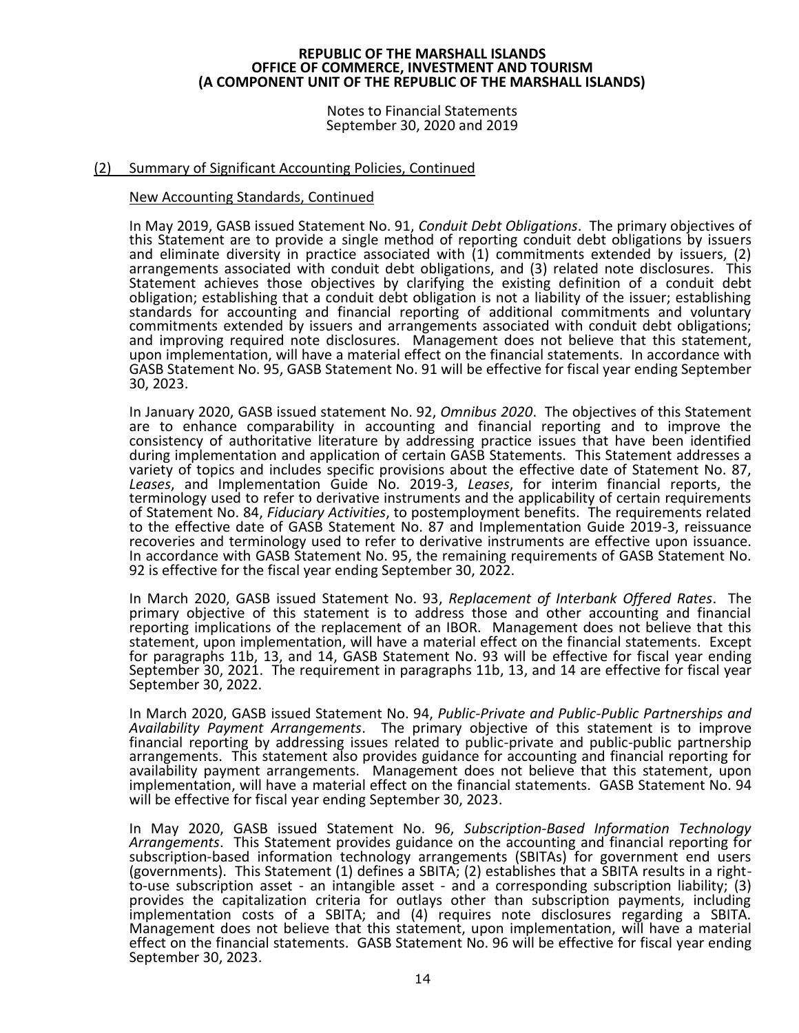Notes to Financial Statements September 30, 2020 and 2019

### (2) Summary of Significant Accounting Policies, Continued

#### New Accounting Standards, Continued

In May 2019, GASB issued Statement No. 91, *Conduit Debt Obligations*. The primary objectives of this Statement are to provide a single method of reporting conduit debt obligations by issuers and eliminate diversity in practice associated with (1) commitments extended by issuers, (2) arrangements associated with conduit debt obligations, and (3) related note disclosures. This Statement achieves those objectives by clarifying the existing definition of a conduit debt obligation; establishing that a conduit debt obligation is not a liability of the issuer; establishing standards for accounting and financial reporting of additional commitments and voluntary commitments extended by issuers and arrangements associated with conduit debt obligations; and improving required note disclosures. Management does not believe that this statement, upon implementation, will have a material effect on the financial statements. In accordance with GASB Statement No. 95, GASB Statement No. 91 will be effective for fiscal year ending September 30, 2023.

In January 2020, GASB issued statement No. 92, *Omnibus 2020*. The objectives of this Statement are to enhance comparability in accounting and financial reporting and to improve the consistency of authoritative literature by addressing practice issues that have been identified during implementation and application of certain GASB Statements. This Statement addresses a variety of topics and includes specific provisions about the effective date of Statement No. 87, *Leases*, and Implementation Guide No. 2019-3, *Leases*, for interim financial reports, the terminology used to refer to derivative instruments and the applicability of certain requirements of Statement No. 84, *Fiduciary Activities*, to postemployment benefits. The requirements related to the effective date of GASB Statement No. 87 and Implementation Guide 2019-3, reissuance recoveries and terminology used to refer to derivative instruments are effective upon issuance. In accordance with GASB Statement No. 95, the remaining requirements of GASB Statement No. 92 is effective for the fiscal year ending September 30, 2022.

In March 2020, GASB issued Statement No. 93, *Replacement of Interbank Offered Rates*. The primary objective of this statement is to address those and other accounting and financial reporting implications of the replacement of an IBOR. Management does not believe that this statement, upon implementation, will have a material effect on the financial statements. Except for paragraphs 11b, 13, and 14, GASB Statement No. 93 will be effective for fiscal year ending September 30, 2021. The requirement in paragraphs 11b, 13, and 14 are effective for fiscal year September 30, 2022.

In March 2020, GASB issued Statement No. 94, *Public-Private and Public-Public Partnerships and Availability Payment Arrangements*. The primary objective of this statement is to improve financial reporting by addressing issues related to public-private and public-public partnership arrangements. This statement also provides guidance for accounting and financial reporting for availability payment arrangements. Management does not believe that this statement, upon implementation, will have a material effect on the financial statements. GASB Statement No. 94 will be effective for fiscal year ending September 30, 2023.

In May 2020, GASB issued Statement No. 96, *Subscription-Based Information Technology Arrangements*. This Statement provides guidance on the accounting and financial reporting for subscription-based information technology arrangements (SBITAs) for government end users (governments). This Statement (1) defines a SBITA; (2) establishes that a SBITA results in a rightto-use subscription asset - an intangible asset - and a corresponding subscription liability; (3) provides the capitalization criteria for outlays other than subscription payments, including implementation costs of a SBITA; and (4) requires note disclosures regarding a SBITA. Management does not believe that this statement, upon implementation, will have a material effect on the financial statements. GASB Statement No. 96 will be effective for fiscal year ending September 30, 2023.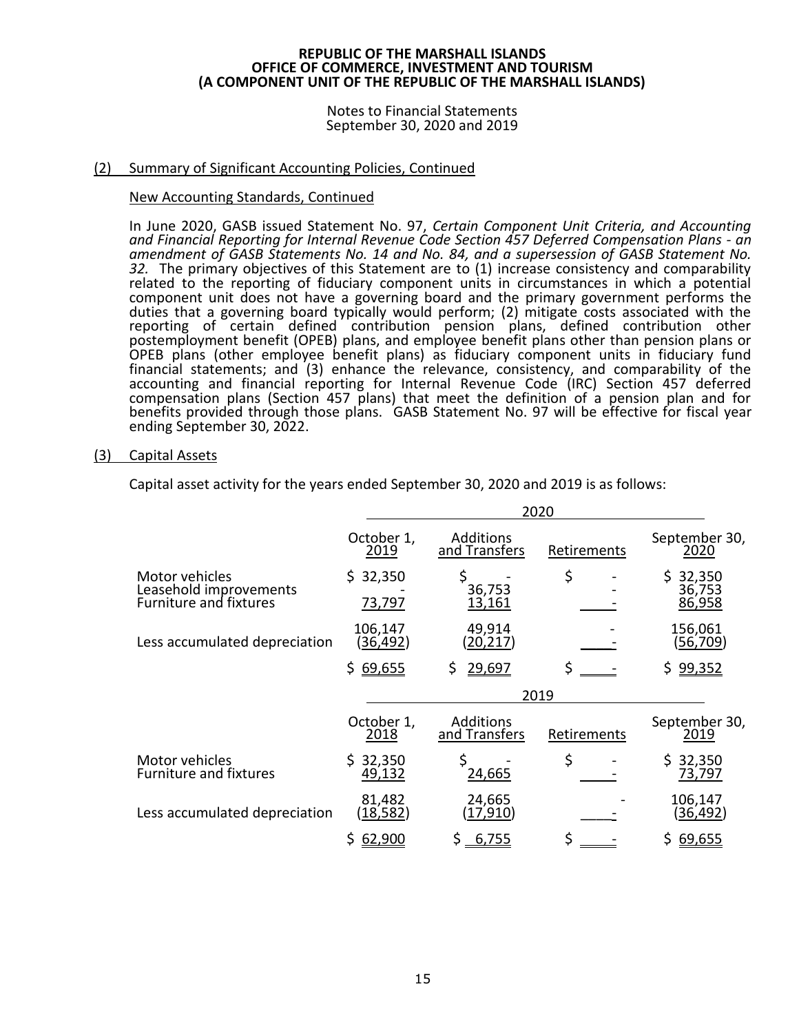Notes to Financial Statements September 30, 2020 and 2019

# (2) Summary of Significant Accounting Policies, Continued

# New Accounting Standards, Continued

In June 2020, GASB issued Statement No. 97, *Certain Component Unit Criteria, and Accounting and Financial Reporting for Internal Revenue Code Section 457 Deferred Compensation Plans - an amendment of GASB Statements No. 14 and No. 84, and a supersession of GASB Statement No. 32.* The primary objectives of this Statement are to (1) increase consistency and comparability related to the reporting of fiduciary component units in circumstances in which a potential component unit does not have a governing board and the primary government performs the duties that a governing board typically would perform; (2) mitigate costs associated with the reporting of certain defined contribution pension plans, defined contribution other postemployment benefit (OPEB) plans, and employee benefit plans other than pension plans or OPEB plans (other employee benefit plans) as fiduciary component units in fiduciary fund financial statements; and (3) enhance the relevance, consistency, and comparability of the accounting and financial reporting for Internal Revenue Code (IRC) Section 457 deferred compensation plans (Section 457 plans) that meet the definition of a pension plan and for benefits provided through those plans. GASB Statement No. 97 will be effective for fiscal year ending September 30, 2022.

# (3) Capital Assets

|                                                                           |                           |                                   | 2020        |                              |
|---------------------------------------------------------------------------|---------------------------|-----------------------------------|-------------|------------------------------|
|                                                                           | October 1,<br>2019        | Additions<br>and Transfers        | Retirements | September 30,<br>2020        |
| Motor vehicles<br>Leasehold improvements<br><b>Furniture and fixtures</b> | \$32,350<br>73,797        | \$<br>36,753<br>13,161            | \$          | \$32,350<br>36,753<br>86,958 |
| Less accumulated depreciation                                             | 106,147<br>(36,492)       | 49,914<br>(20,217)                |             | 156,061<br><u>(56,709)</u>   |
|                                                                           | 69,655<br>\$.             | 29,697<br>\$                      | \$          | \$ 99,352                    |
|                                                                           |                           |                                   | 2019        |                              |
|                                                                           | October 1,<br>2018        | <b>Additions</b><br>and Transfers | Retirements | September 30,<br>2019        |
| Motor vehicles<br><b>Furniture and fixtures</b>                           | 32,350<br>S.<br>49,132    | \$<br>24,665                      | \$          | \$32,350<br>73,797           |
| Less accumulated depreciation                                             | 81,482<br><u>(18,582)</u> | 24,665<br>(17,910)                |             | 106,147<br>(36,492)          |
|                                                                           | 62,900                    | 6,755                             | \$          | \$<br>69,655                 |

Capital asset activity for the years ended September 30, 2020 and 2019 is as follows: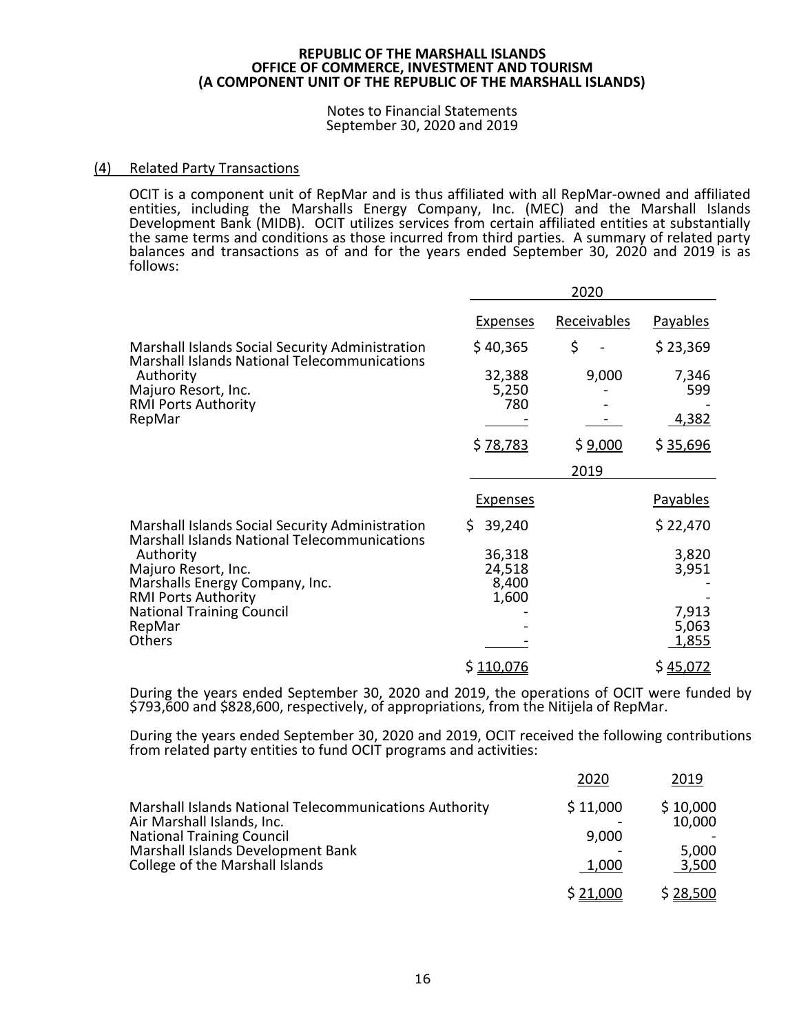#### Notes to Financial Statements September 30, 2020 and 2019

### (4) Related Party Transactions

OCIT is a component unit of RepMar and is thus affiliated with all RepMar-owned and affiliated entities, including the Marshalls Energy Company, Inc. (MEC) and the Marshall Islands Development Bank (MIDB). OCIT utilizes services from certain affiliated entities at substantially the same terms and conditions as those incurred from third parties. A summary of related party balances and transactions as of and for the years ended September 30, 2020 and 2019 is as follows:

|                                                                                                                |                                    | 2020               |                                |
|----------------------------------------------------------------------------------------------------------------|------------------------------------|--------------------|--------------------------------|
|                                                                                                                | <b>Expenses</b>                    | <b>Receivables</b> | <b>Payables</b>                |
| Marshall Islands Social Security Administration                                                                | \$40,365                           | \$                 | \$23,369                       |
| Marshall Islands National Telecommunications<br>Authority<br>Majuro Resort, Inc.<br><b>RMI Ports Authority</b> | 32,388<br>5,250<br>780             | 9,000              | 7,346<br>599                   |
| RepMar                                                                                                         |                                    |                    | 4,382                          |
|                                                                                                                | \$ 78,783                          | \$ <u>9,000</u>    | \$35,696                       |
|                                                                                                                |                                    | 2019               |                                |
|                                                                                                                | <b>Expenses</b>                    |                    | Payables                       |
| Marshall Islands Social Security Administration<br><b>Marshall Islands National Telecommunications</b>         | 39,240<br>S.                       |                    | \$22,470                       |
| Authority<br>Majuro Resort, Inc.<br>Marshalls Energy Company, Inc.<br><b>RMI Ports Authority</b>               | 36,318<br>24,518<br>8,400<br>1,600 |                    | 3,820<br>3,951                 |
| <b>National Training Council</b><br>RepMar<br>Others                                                           |                                    |                    | 7,913<br>5,063<br><u>1,855</u> |
|                                                                                                                | \$110,076                          |                    | \$45,072                       |

During the years ended September 30, 2020 and 2019, the operations of OCIT were funded by \$793,600 and \$828,600, respectively, of appropriations, from the Nitijela of RepMar.

During the years ended September 30, 2020 and 2019, OCIT received the following contributions from related party entities to fund OCIT programs and activities:

|                                                                                                                                                                                                  | 2020                       | 2019                                 |
|--------------------------------------------------------------------------------------------------------------------------------------------------------------------------------------------------|----------------------------|--------------------------------------|
| Marshall Islands National Telecommunications Authority<br>Air Marshall Islands, Inc.<br><b>National Training Council</b><br>Marshall Islands Development Bank<br>College of the Marshall Islands | \$11,000<br>9,000<br>1,000 | \$10,000<br>10,000<br>5,000<br>3,500 |
|                                                                                                                                                                                                  | \$21,000                   | \$28,500                             |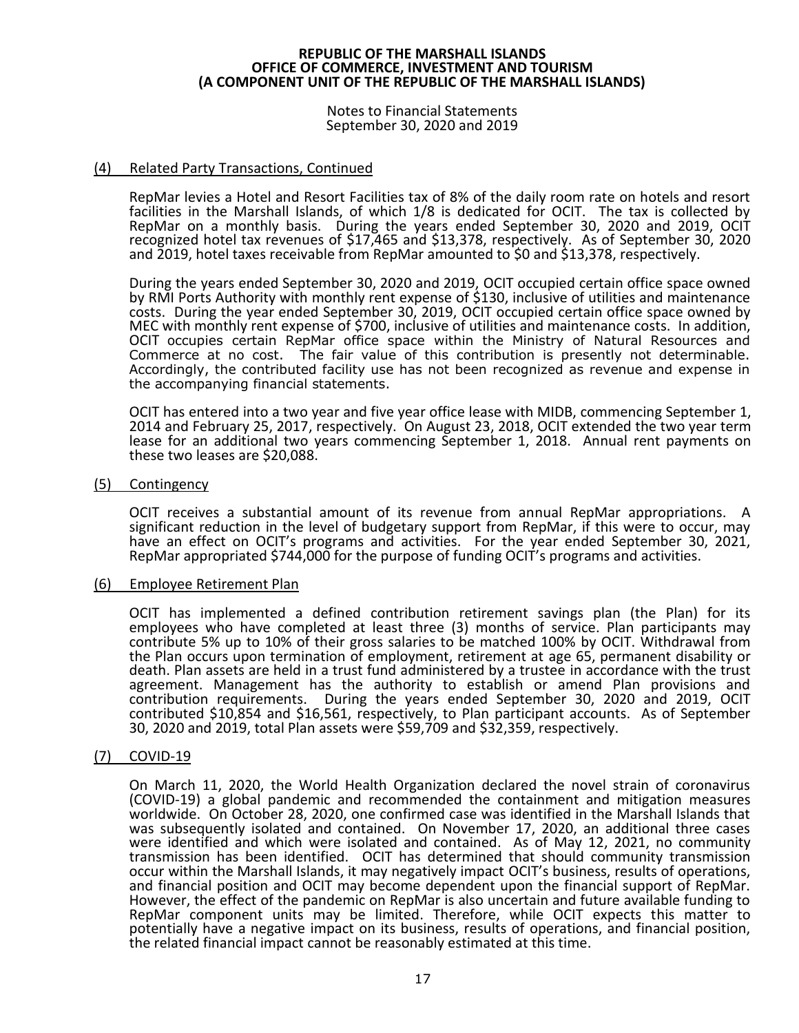Notes to Financial Statements September 30, 2020 and 2019

### (4) Related Party Transactions, Continued

RepMar levies a Hotel and Resort Facilities tax of 8% of the daily room rate on hotels and resort facilities in the Marshall Islands, of which 1/8 is dedicated for OCIT. The tax is collected by RepMar on a monthly basis. During the years ended September 30, 2020 and 2019, OCIT recognized hotel tax revenues of \$17,465 and \$13,378, respectively. As of September 30, 2020 and 2019, hotel taxes receivable from RepMar amounted to \$0 and \$13,378, respectively.

During the years ended September 30, 2020 and 2019, OCIT occupied certain office space owned by RMI Ports Authority with monthly rent expense of \$130, inclusive of utilities and maintenance costs. During the year ended September 30, 2019, OCIT occupied certain office space owned by MEC with monthly rent expense of \$700, inclusive of utilities and maintenance costs. In addition, OCIT occupies certain RepMar office space within the Ministry of Natural Resources and Commerce at no cost. The fair value of this contribution is presently not determinable. Accordingly, the contributed facility use has not been recognized as revenue and expense in the accompanying financial statements.

OCIT has entered into a two year and five year office lease with MIDB, commencing September 1, 2014 and February 25, 2017, respectively. On August 23, 2018, OCIT extended the two year term lease for an additional two years commencing September 1, 2018. Annual rent payments on these two leases are \$20,088.

#### (5) Contingency

OCIT receives a substantial amount of its revenue from annual RepMar appropriations. A significant reduction in the level of budgetary support from RepMar, if this were to occur, may have an effect on OCIT's programs and activities. For the year ended September 30, 2021, RepMar appropriated \$744,000 for the purpose of funding OCIT's programs and activities.

#### (6) Employee Retirement Plan

OCIT has implemented a defined contribution retirement savings plan (the Plan) for its employees who have completed at least three (3) months of service. Plan participants may contribute 5% up to 10% of their gross salaries to be matched 100% by OCIT. Withdrawal from the Plan occurs upon termination of employment, retirement at age 65, permanent disability or death. Plan assets are held in a trust fund administered by a trustee in accordance with the trust agreement. Management has the authority to establish or amend Plan provisions and contribution requirements. During the years ended September 30, 2020 and 2019, OCIT contributed \$10,854 and \$16,561, respectively, to Plan participant accounts. As of September 30, 2020 and 2019, total Plan assets were \$59,709 and \$32,359, respectively.

# (7) COVID-19

On March 11, 2020, the World Health Organization declared the novel strain of coronavirus (COVID-19) a global pandemic and recommended the containment and mitigation measures worldwide. On October 28, 2020, one confirmed case was identified in the Marshall Islands that was subsequently isolated and contained. On November 17, 2020, an additional three cases were identified and which were isolated and contained. As of May 12, 2021, no community transmission has been identified. OCIT has determined that should community transmission occur within the Marshall Islands, it may negatively impact OCIT's business, results of operations, and financial position and OCIT may become dependent upon the financial support of RepMar. However, the effect of the pandemic on RepMar is also uncertain and future available funding to RepMar component units may be limited. Therefore, while OCIT expects this matter to potentially have a negative impact on its business, results of operations, and financial position, the related financial impact cannot be reasonably estimated at this time.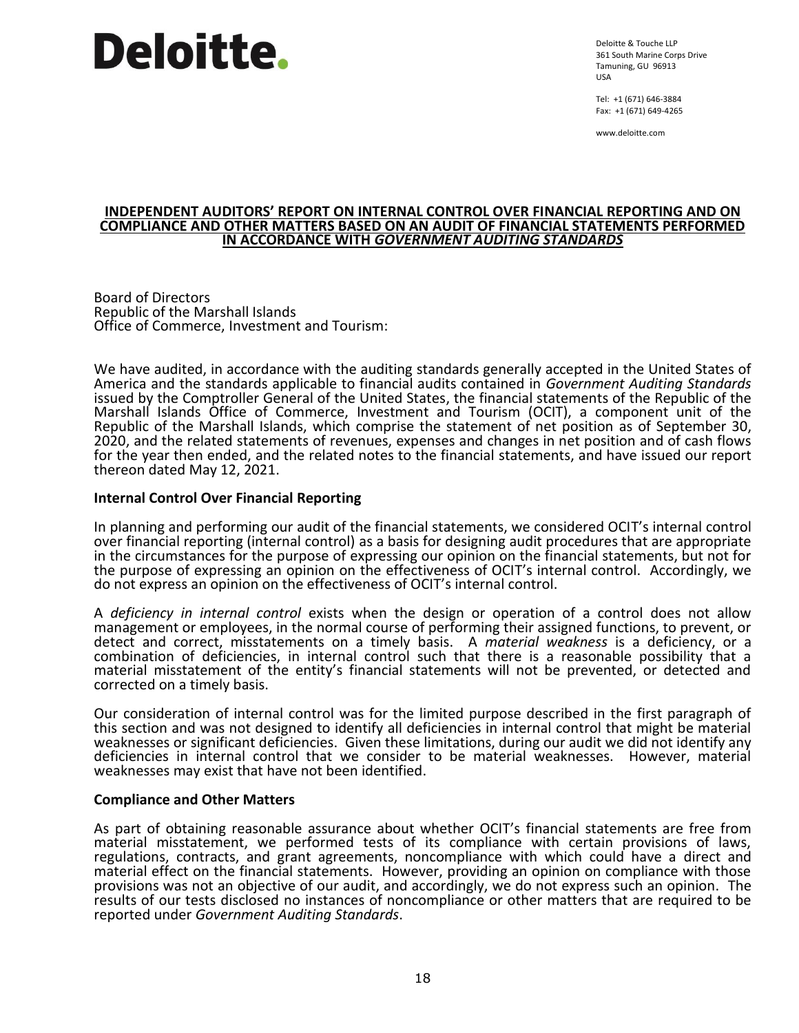# **Deloitte.**

Deloitte & Touche LLP 361 South Marine Corps Drive Tamuning, GU 96913 USA

Tel: +1 (671) 646-3884 Fax: +1 (671) 649-4265

www.deloitte.com

#### **INDEPENDENT AUDITORS' REPORT ON INTERNAL CONTROL OVER FINANCIAL REPORTING AND ON COMPLIANCE AND OTHER MATTERS BASED ON AN AUDIT OF FINANCIAL STATEMENTS PERFORMED IN ACCORDANCE WITH** *GOVERNMENT AUDITING STANDARDS*

Board of Directors Republic of the Marshall Islands Office of Commerce, Investment and Tourism:

We have audited, in accordance with the auditing standards generally accepted in the United States of America and the standards applicable to financial audits contained in *Government Auditing Standards* issued by the Comptroller General of the United States, the financial statements of the Republic of the Marshall Islands Office of Commerce, Investment and Tourism (OCIT), a component unit of the Republic of the Marshall Islands, which comprise the statement of net position as of September 30, 2020, and the related statements of revenues, expenses and changes in net position and of cash flows for the year then ended, and the related notes to the financial statements, and have issued our report thereon dated May 12, 2021.

# **Internal Control Over Financial Reporting**

In planning and performing our audit of the financial statements, we considered OCIT's internal control over financial reporting (internal control) as a basis for designing audit procedures that are appropriate in the circumstances for the purpose of expressing our opinion on the financial statements, but not for the purpose of expressing an opinion on the effectiveness of OCIT's internal control. Accordingly, we do not express an opinion on the effectiveness of OCIT's internal control.

A *deficiency in internal control* exists when the design or operation of a control does not allow management or employees, in the normal course of performing their assigned functions, to prevent, or detect and correct, misstatements on a timely basis. A *material weakness* is a deficiency, or a combination of deficiencies, in internal control such that there is a reasonable possibility that a material misstatement of the entity's financial statements will not be prevented, or detected and corrected on a timely basis.

Our consideration of internal control was for the limited purpose described in the first paragraph of this section and was not designed to identify all deficiencies in internal control that might be material weaknesses or significant deficiencies. Given these limitations, during our audit we did not identify any deficiencies in internal control that we consider to be material weaknesses. However, material weaknesses may exist that have not been identified.

# **Compliance and Other Matters**

As part of obtaining reasonable assurance about whether OCIT's financial statements are free from material misstatement, we performed tests of its compliance with certain provisions of laws, regulations, contracts, and grant agreements, noncompliance with which could have a direct and material effect on the financial statements. However, providing an opinion on compliance with those provisions was not an objective of our audit, and accordingly, we do not express such an opinion. The results of our tests disclosed no instances of noncompliance or other matters that are required to be reported under *Government Auditing Standards*.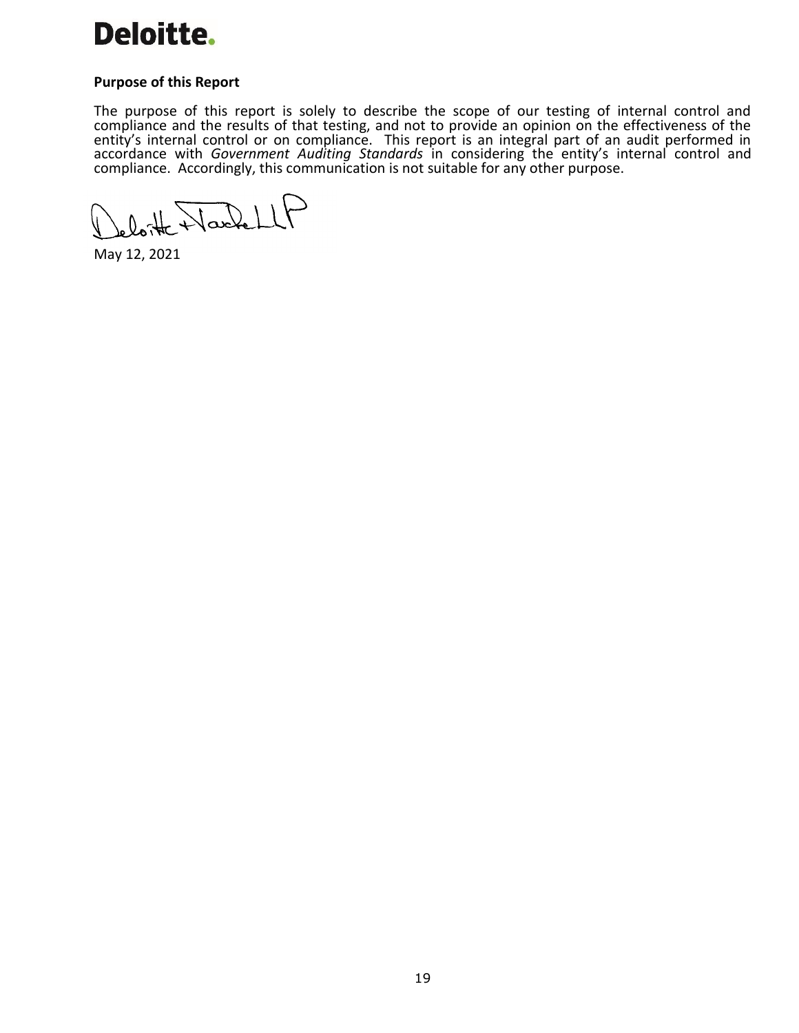

### **Purpose of this Report**

The purpose of this report is solely to describe the scope of our testing of internal control and compliance and the results of that testing, and not to provide an opinion on the effectiveness of the entity's internal control or on compliance. This report is an integral part of an audit performed in accordance with *Government Auditing Standards* in considering the entity's internal control and compliance. Accordingly, this communication is not suitable for any other purpose.

loite Naskell

May 12, 2021